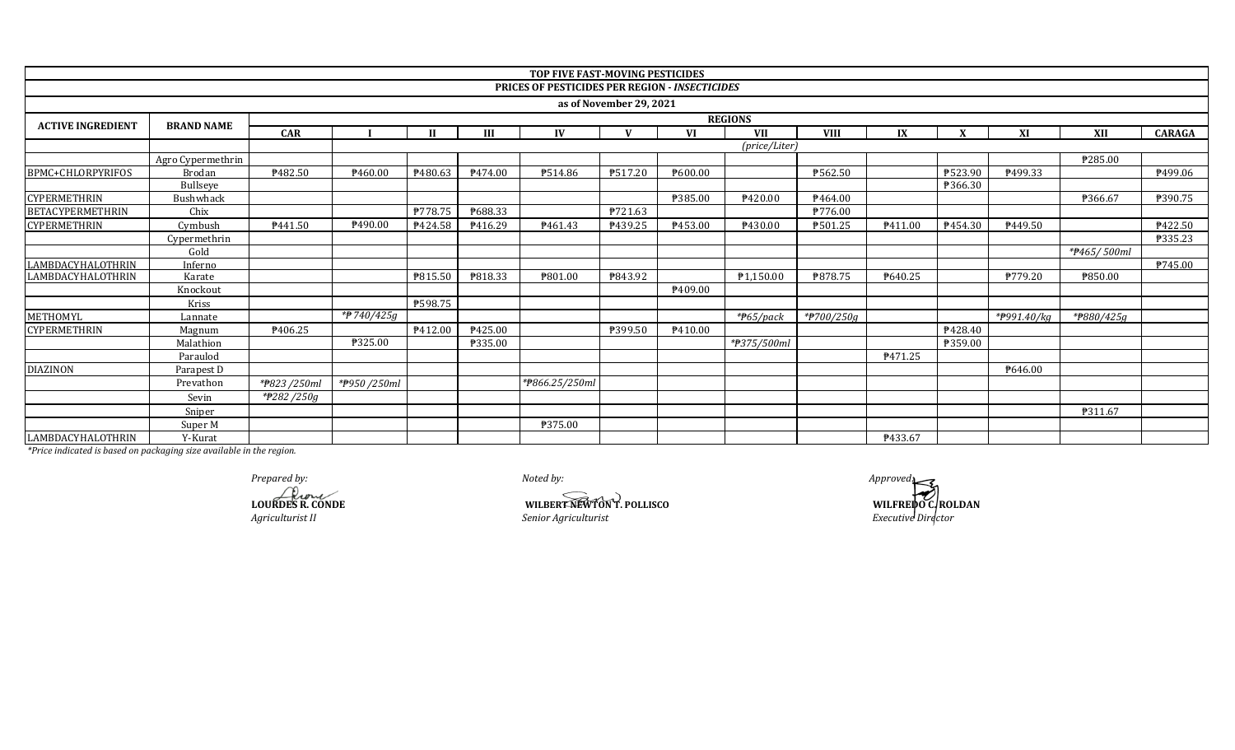|                          |                   |                               |                |                |                | <b>TOP FIVE FAST-MOVING PESTICIDES</b>         |                         |                |                          |             |         |         |             |             |               |
|--------------------------|-------------------|-------------------------------|----------------|----------------|----------------|------------------------------------------------|-------------------------|----------------|--------------------------|-------------|---------|---------|-------------|-------------|---------------|
|                          |                   |                               |                |                |                | PRICES OF PESTICIDES PER REGION - INSECTICIDES |                         |                |                          |             |         |         |             |             |               |
|                          |                   |                               |                |                |                |                                                | as of November 29, 2021 |                |                          |             |         |         |             |             |               |
|                          |                   | <b>REGIONS</b>                |                |                |                |                                                |                         |                |                          |             |         |         |             |             |               |
| <b>ACTIVE INGREDIENT</b> | <b>BRAND NAME</b> | <b>CAR</b>                    |                | $\mathbf{H}$   | III            | IV                                             | $\mathbf{V}$            | <b>VI</b>      | <b>VII</b>               | <b>VIII</b> | IX      |         | XI          | XII         | <b>CARAGA</b> |
|                          |                   | (price/Liter)                 |                |                |                |                                                |                         |                |                          |             |         |         |             |             |               |
|                          | Agro Cypermethrin |                               |                |                |                |                                                |                         |                |                          |             |         |         |             | ₱285.00     |               |
| BPMC+CHLORPYRIFOS        | Brodan            | ₱482.50                       | ₱460.00        | ₹480.63        | ₱474.00        | ₱514.86                                        | ₱517.20                 | ₹600.00        |                          | P562.50     |         | ₱523.90 | P499.33     |             | P499.06       |
|                          | Bullseye          |                               |                |                |                |                                                |                         |                |                          |             |         | ₱366.30 |             |             |               |
| <b>CYPERMETHRIN</b>      | <b>Bushwhack</b>  |                               |                |                |                |                                                |                         | <b>P385.00</b> | P420.00                  | P464.00     |         |         |             | ₱366.67     | ₱390.75       |
| <b>BETACYPERMETHRIN</b>  | Chix              |                               |                | ₱778.75        | P688.33        |                                                | ₱721.63                 |                |                          | P776.00     |         |         |             |             |               |
| <b>CYPERMETHRIN</b>      | Cymbush           | P441.50                       | P490.00        | P424.58        | P416.29        | P461.43                                        | P439.25                 | P453.00        | P430.00                  | P501.25     | P411.00 | P454.30 | P449.50     |             | P422.50       |
|                          | Cypermethrin      |                               |                |                |                |                                                |                         |                |                          |             |         |         |             |             | P335.23       |
|                          | Gold              |                               |                |                |                |                                                |                         |                |                          |             |         |         |             | *#465/500ml |               |
| LAMBDACYHALOTHRIN        | Inferno           |                               |                |                |                |                                                |                         |                |                          |             |         |         |             |             | P745.00       |
| <b>LAMBDACYHALOTHRIN</b> | Karate            |                               |                | ₹815.50        | ₹818.33        | ₱801.00                                        | ₹843.92                 |                | P1,150.00                | ₱878.75     | P640.25 |         | P779.20     | ₱850.00     |               |
|                          | Knockout          |                               |                |                |                |                                                |                         | P409.00        |                          |             |         |         |             |             |               |
|                          | Kriss             |                               |                | <b>P598.75</b> |                |                                                |                         |                |                          |             |         |         |             |             |               |
| METHOMYL                 | Lannate           |                               | *P 740/425g    |                |                |                                                |                         |                | $*$ <del>P</del> 65/pack | *#700/250g  |         |         | *#991.40/kg | *#880/425g  |               |
| <b>CYPERMETHRIN</b>      | Magnum            | ₱406.25                       |                | P412.00        | P425.00        |                                                | ₱399.50                 | P410.00        |                          |             |         | P428.40 |             |             |               |
|                          | Malathion         |                               | <b>P325.00</b> |                | <b>P335.00</b> |                                                |                         |                | *#375/500ml              |             |         | ₱359.00 |             |             |               |
|                          | Paraulod          |                               |                |                |                |                                                |                         |                |                          |             | P471.25 |         |             |             |               |
| <b>DIAZINON</b>          | Parapest D        |                               |                |                |                |                                                |                         |                |                          |             |         |         | P646.00     |             |               |
|                          | Prevathon         | *#823/250ml                   | *#950/250ml    |                |                | *#866.25/250ml                                 |                         |                |                          |             |         |         |             |             |               |
|                          | Sevin             | $\sqrt{\frac{4}{2}}$ 282/250g |                |                |                |                                                |                         |                |                          |             |         |         |             |             |               |
|                          | Sniper            |                               |                |                |                |                                                |                         |                |                          |             |         |         |             | P311.67     |               |
|                          | Super M           |                               |                |                |                | <b>P375.00</b>                                 |                         |                |                          |             |         |         |             |             |               |
| LAMBDACYHALOTHRIN        | Y-Kurat           |                               |                |                |                |                                                |                         |                |                          |             | P433.67 |         |             |             |               |

*Prepared by: Approved:*

**LOURDES R. CONDE** *Agriculturist II*

**WILBERT NEWTON T. POLLISCO** *Senior Agriculturist*

**WILFREDO C.ROLDAN**<br>*Executive Director*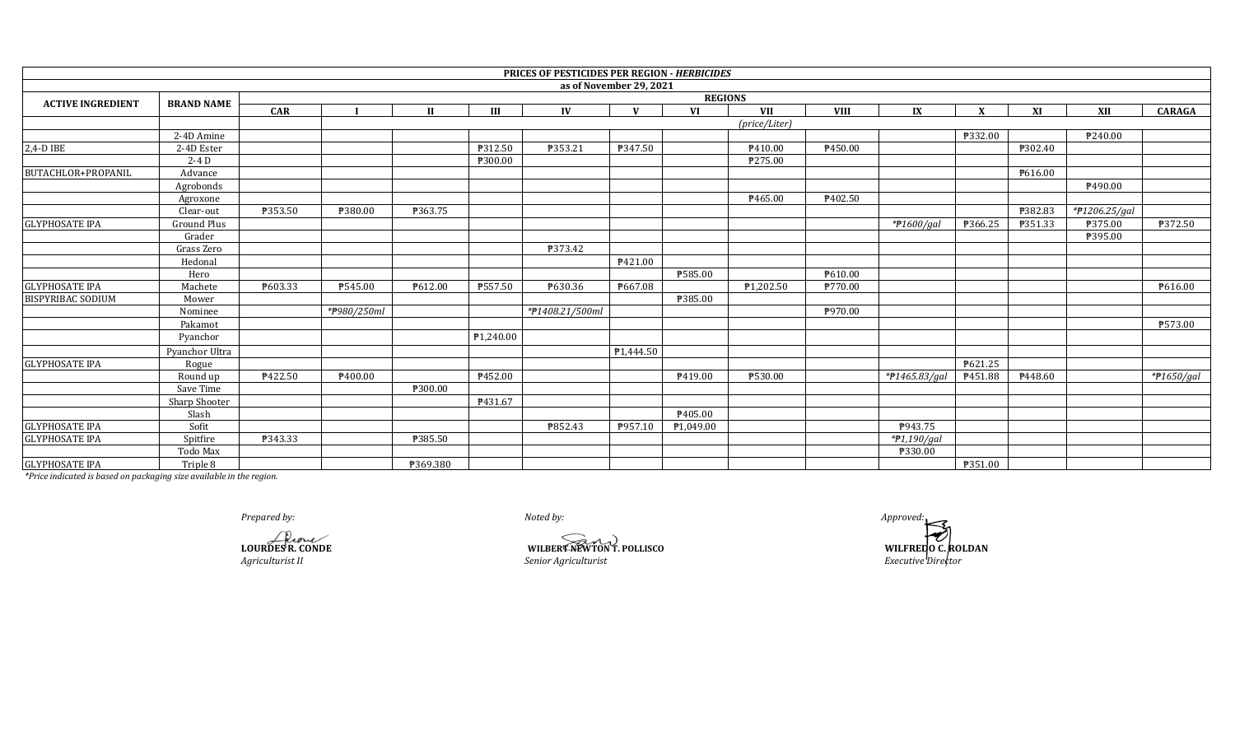|                           |                    |            |             |              |           | PRICES OF PESTICIDES PER REGION - HERBICIDES |                         |                |               |             |                       |              |         |               |                           |
|---------------------------|--------------------|------------|-------------|--------------|-----------|----------------------------------------------|-------------------------|----------------|---------------|-------------|-----------------------|--------------|---------|---------------|---------------------------|
|                           |                    |            |             |              |           |                                              | as of November 29, 2021 |                |               |             |                       |              |         |               |                           |
| <b>ACTIVE INGREDIENT</b>  | <b>BRAND NAME</b>  |            |             |              |           |                                              |                         | <b>REGIONS</b> |               |             |                       |              |         |               |                           |
|                           |                    | <b>CAR</b> |             | $\mathbf{H}$ | Ш         | IV                                           | $\mathbf{V}$            | <b>VI</b>      | <b>VII</b>    | <b>VIII</b> | IX                    | $\mathbf{X}$ | XI      | XII           | <b>CARAGA</b>             |
|                           |                    |            |             |              |           |                                              |                         |                | (price/Liter) |             |                       |              |         |               |                           |
|                           | 2-4D Amine         |            |             |              |           |                                              |                         |                |               |             |                       | ₱332.00      |         | P240.00       |                           |
| 2,4-D IBE                 | 2-4D Ester         |            |             |              | ₱312.50   | ₱353.21                                      | ₱347.50                 |                | P410.00       | ₱450.00     |                       |              | ₱302.40 |               |                           |
|                           | $2-4D$             |            |             |              | ₱300.00   |                                              |                         |                | ₱275.00       |             |                       |              |         |               |                           |
| <b>BUTACHLOR+PROPANIL</b> | Advance            |            |             |              |           |                                              |                         |                |               |             |                       |              | ₹616.00 |               |                           |
|                           | Agrobonds          |            |             |              |           |                                              |                         |                |               |             |                       |              |         | P490.00       |                           |
|                           | Agroxone           |            |             |              |           |                                              |                         |                | P465.00       | ₱402.50     |                       |              |         |               |                           |
|                           | Clear-out          | P353.50    | ₱380.00     | ₱363.75      |           |                                              |                         |                |               |             |                       |              | ₱382.83 | *#1206.25/gal |                           |
| <b>GLYPHOSATE IPA</b>     | <b>Ground Plus</b> |            |             |              |           |                                              |                         |                |               |             | $*$ <i>P</i> 1600/gal | ₱366.25      | ₱351.33 | ₱375.00       | ₱372.50                   |
|                           | Grader             |            |             |              |           |                                              |                         |                |               |             |                       |              |         | ₱395.00       |                           |
|                           | Grass Zero         |            |             |              |           | <b>P373.42</b>                               |                         |                |               |             |                       |              |         |               |                           |
|                           | Hedonal            |            |             |              |           |                                              | ₱421.00                 |                |               |             |                       |              |         |               |                           |
|                           | Hero               |            |             |              |           |                                              |                         | ₱585.00        |               | P610.00     |                       |              |         |               |                           |
| <b>GLYPHOSATE IPA</b>     | Machete            | ₱603.33    | ₱545.00     | P612.00      | ₱557.50   | P630.36                                      | ₱667.08                 |                | ₱1,202.50     | ₱770.00     |                       |              |         |               | P616.00                   |
| <b>BISPYRIBAC SODIUM</b>  | Mower              |            |             |              |           |                                              |                         | ₱385.00        |               |             |                       |              |         |               |                           |
|                           | Nominee            |            | *#980/250ml |              |           | *#1408.21/500ml                              |                         |                |               | P970.00     |                       |              |         |               |                           |
|                           | Pakamot            |            |             |              |           |                                              |                         |                |               |             |                       |              |         |               | ₱573.00                   |
|                           | Pyanchor           |            |             |              | ₱1,240.00 |                                              |                         |                |               |             |                       |              |         |               |                           |
|                           | Pyanchor Ultra     |            |             |              |           |                                              | P <sub>1</sub> ,444.50  |                |               |             |                       |              |         |               |                           |
| <b>GLYPHOSATE IPA</b>     | Rogue              |            |             |              |           |                                              |                         |                |               |             |                       | ₱621.25      |         |               |                           |
|                           | Round up           | P422.50    | P400.00     |              | ₱452.00   |                                              |                         | P419.00        | ₱530.00       |             | *#1465.83/gal         | P451.88      | P448.60 |               | $*$ <del>P</del> 1650/gal |
|                           | Save Time          |            |             | ₱300.00      |           |                                              |                         |                |               |             |                       |              |         |               |                           |
|                           | Sharp Shooter      |            |             |              | P431.67   |                                              |                         |                |               |             |                       |              |         |               |                           |
|                           | Slash              |            |             |              |           |                                              |                         | P405.00        |               |             |                       |              |         |               |                           |
| <b>GLYPHOSATE IPA</b>     | Sofit              |            |             |              |           | P852.43                                      | P957.10                 | ₱1,049.00      |               |             | P943.75               |              |         |               |                           |
| <b>GLYPHOSATE IPA</b>     | Spitfire           | ₱343.33    |             | ₱385.50      |           |                                              |                         |                |               |             | *#1,190/gal           |              |         |               |                           |
|                           | Todo Max           |            |             |              |           |                                              |                         |                |               |             | ₱330.00               |              |         |               |                           |
| <b>GLYPHOSATE IPA</b>     | Triple 8           |            |             | ₱369.380     |           |                                              |                         |                |               |             |                       | ₱351.00      |         |               |                           |

**LOURDES R. CONDE**

*Agriculturist II*

**WILBERT NEWTON T. POLLISCO** *WILFREDO C. ROLDAN Senior Agriculturist*

*Executive Director Prepared by: Approved:*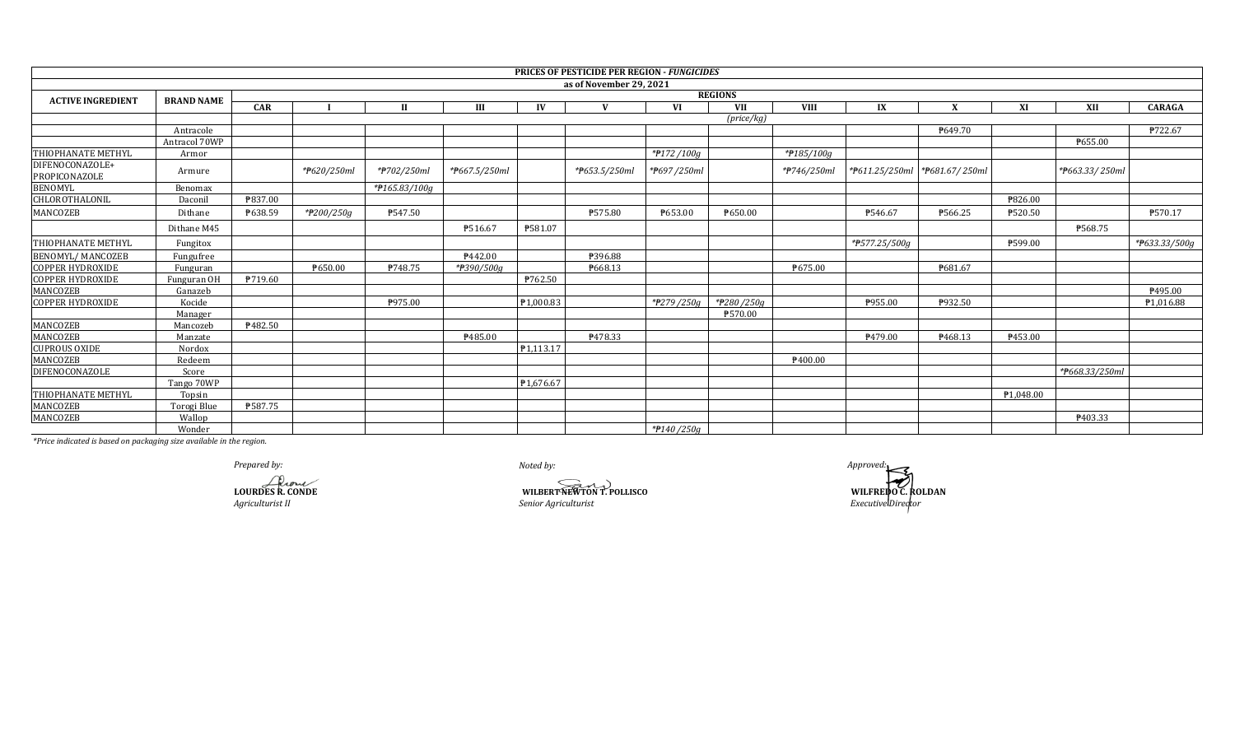|                                  |                   |            |                |               |               |              | PRICES OF PESTICIDE PER REGION - FUNGICIDES |             |                     |             |               |                               |           |                |                            |  |  |
|----------------------------------|-------------------|------------|----------------|---------------|---------------|--------------|---------------------------------------------|-------------|---------------------|-------------|---------------|-------------------------------|-----------|----------------|----------------------------|--|--|
|                                  |                   |            |                |               |               |              | as of November 29, 2021                     |             |                     |             |               |                               |           |                |                            |  |  |
| <b>ACTIVE INGREDIENT</b>         | <b>BRAND NAME</b> |            | <b>REGIONS</b> |               |               |              |                                             |             |                     |             |               |                               |           |                |                            |  |  |
|                                  |                   | <b>CAR</b> |                | $_{II}$       | III           | $\mathbf{I}$ | $\mathbf{V}$                                | <b>VI</b>   | <b>VII</b>          | <b>VIII</b> | IX            | $\mathbf v$                   | XI        | XII            | <b>CARAGA</b>              |  |  |
|                                  |                   |            |                |               |               |              |                                             |             | $(\text{price/kg})$ |             |               |                               |           |                |                            |  |  |
|                                  | Antracole         |            |                |               |               |              |                                             |             |                     |             |               | P649.70                       |           |                | ₱722.67                    |  |  |
|                                  | Antracol 70WP     |            |                |               |               |              |                                             |             |                     |             |               |                               |           | P655.00        |                            |  |  |
| THIOPHANATE METHYL               | Armor             |            |                |               |               |              |                                             | *#172/100g  |                     | *#185/100g  |               |                               |           |                |                            |  |  |
| DIFENOCONAZOLE+<br>PROPICONAZOLE | Armure            |            | *P620/250ml    | *#702/250ml   | *#667.5/250ml |              | *#653.5/250ml                               | *P697/250ml |                     | *#746/250ml |               | *P611.25/250ml *P681.67/250ml |           | *#663.33/250ml |                            |  |  |
| <b>BENOMYL</b>                   | Benomax           |            |                | *#165.83/100g |               |              |                                             |             |                     |             |               |                               |           |                |                            |  |  |
| CHLOROTHALONIL                   | Daconil           | ₱837.00    |                |               |               |              |                                             |             |                     |             |               |                               | ₱826.00   |                |                            |  |  |
| MANCOZEB                         | Dithane           | P638.59    | *#200/250g     | ₱547.50       |               |              | ₱575.80                                     | ₱653.00     | P650.00             |             | P546.67       | P566.25                       | ₱520.50   |                | P570.17                    |  |  |
|                                  | Dithane M45       |            |                |               | ₱516.67       | ₱581.07      |                                             |             |                     |             |               |                               |           | ₱568.75        |                            |  |  |
| THIOPHANATE METHYL               | Fungitox          |            |                |               |               |              |                                             |             |                     |             | *#577.25/500g |                               | ₱599.00   |                | * <del>P</del> 633.33/500g |  |  |
| <b>BENOMYL/ MANCOZEB</b>         | Fungufree         |            |                |               | P442.00       |              | ₱396.88                                     |             |                     |             |               |                               |           |                |                            |  |  |
| <b>COPPER HYDROXIDE</b>          | Funguran          |            | P650.00        | ₱748.75       | *#390/500g    |              | P668.13                                     |             |                     | ₱675.00     |               | ₱681.67                       |           |                |                            |  |  |
| <b>COPPER HYDROXIDE</b>          | Funguran OH       | P719.60    |                |               |               | P762.50      |                                             |             |                     |             |               |                               |           |                |                            |  |  |
| MANCOZEB                         | Ganazeb           |            |                |               |               |              |                                             |             |                     |             |               |                               |           |                | ₱495.00                    |  |  |
| <b>COPPER HYDROXIDE</b>          | Kocide            |            |                | ₱975.00       |               | ₱1,000.83    |                                             | *#279/250g  | *#280/250g          |             | P955.00       | P932.50                       |           |                | ₱1,016.88                  |  |  |
|                                  | Manager           |            |                |               |               |              |                                             |             | ₱570.00             |             |               |                               |           |                |                            |  |  |
| MANCOZEB                         | Mancozeb          | ₹482.50    |                |               |               |              |                                             |             |                     |             |               |                               |           |                |                            |  |  |
| MANCOZEB                         | Manzate           |            |                |               | P485.00       |              | P478.33                                     |             |                     |             | P479.00       | P468.13                       | ₱453.00   |                |                            |  |  |
| <b>CUPROUS OXIDE</b>             | Nordox            |            |                |               |               | P1.113.17    |                                             |             |                     |             |               |                               |           |                |                            |  |  |
| MANCOZEB                         | Redeem            |            |                |               |               |              |                                             |             |                     | ₱400.00     |               |                               |           |                |                            |  |  |
| DIFENOCONAZOLE                   | Score             |            |                |               |               |              |                                             |             |                     |             |               |                               |           | *#668.33/250ml |                            |  |  |
|                                  | Tango 70WP        |            |                |               |               | P1.676.67    |                                             |             |                     |             |               |                               |           |                |                            |  |  |
| THIOPHANATE METHYL               | Topsin            |            |                |               |               |              |                                             |             |                     |             |               |                               | P1.048.00 |                |                            |  |  |
| MANCOZEB                         | Torogi Blue       | ₱587.75    |                |               |               |              |                                             |             |                     |             |               |                               |           |                |                            |  |  |
| MANCOZEB                         | Wallop            |            |                |               |               |              |                                             |             |                     |             |               |                               |           | ₱403.33        |                            |  |  |
|                                  | Wonder            |            |                |               |               |              |                                             | *#140/250g  |                     |             |               |                               |           |                |                            |  |  |

*Prepared by: Approved:*

**LOURDES R. CONDE**

**WILBERT NEWTON T. POLLISCO**<br>
Senior Agriculturist<br>
Executive Director *Agriculturist II Executive Director Senior Agriculturist*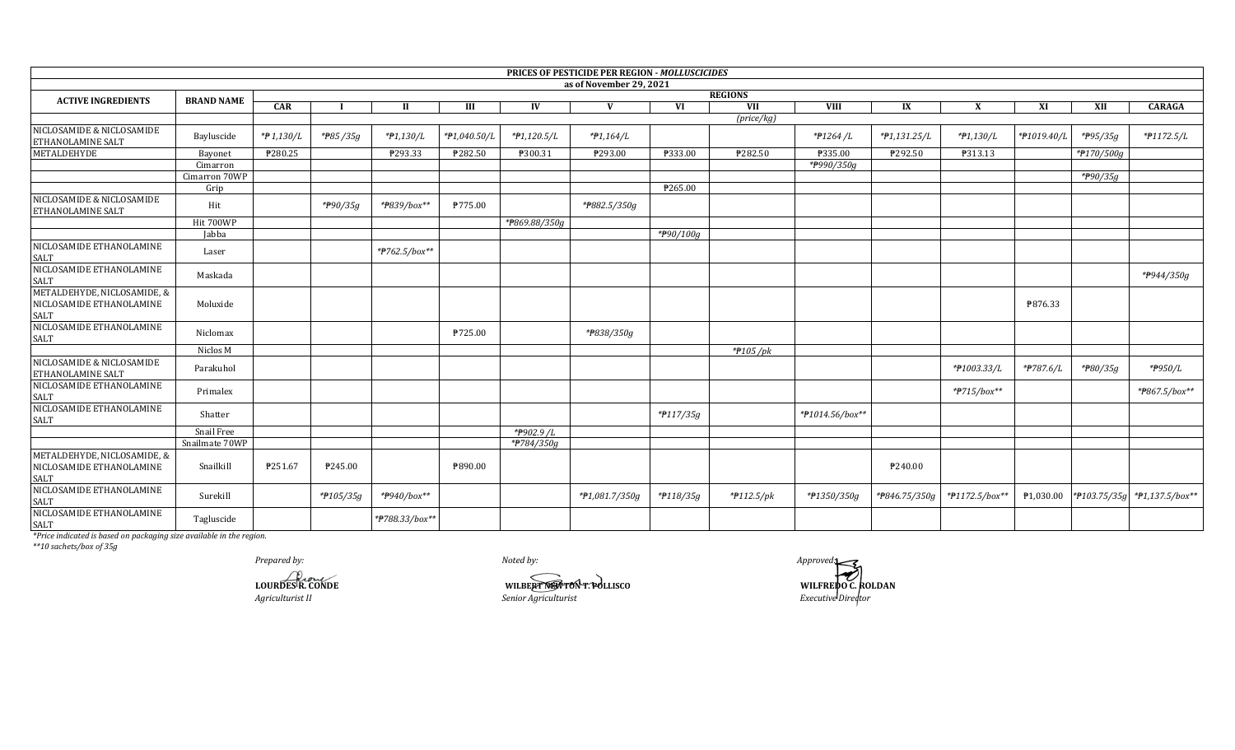|                                                                        |                   |            |           |                |              |               | PRICES OF PESTICIDE PER REGION - MOLLUSCICIDES |           |                     |                 |                |                |                       |              |                         |
|------------------------------------------------------------------------|-------------------|------------|-----------|----------------|--------------|---------------|------------------------------------------------|-----------|---------------------|-----------------|----------------|----------------|-----------------------|--------------|-------------------------|
|                                                                        |                   |            |           |                |              |               | as of November 29, 2021                        |           |                     |                 |                |                |                       |              |                         |
| <b>ACTIVE INGREDIENTS</b>                                              | <b>BRAND NAME</b> |            |           |                |              |               |                                                |           | <b>REGIONS</b>      |                 |                |                |                       |              |                         |
|                                                                        |                   | <b>CAR</b> |           | П              | Ш            | IV            | V                                              | VI        | VII                 | <b>VIII</b>     | IX             | $\mathbf{x}$   | XI                    | XII          | <b>CARAGA</b>           |
|                                                                        |                   |            |           |                |              |               |                                                |           | $(\text{price/kg})$ |                 |                |                |                       |              |                         |
| NICLOSAMIDE & NICLOSAMIDE<br><b>ETHANOLAMINE SALT</b>                  | Bayluscide        | *P1,130/L  | *#85/35g  | *#1,130/L      | *P1,040.50/L | $*P1,120.5/L$ | $*P1,164/L$                                    |           |                     | *#1264/L        | $*P1,131.25/L$ | *#1,130/L      | *P1019.40/L           | *#95/35g     | *#1172.5/L              |
| METALDEHYDE                                                            | Bayonet           | ₱280.25    |           | P293.33        | ₱282.50      | P300.31       | ₱293.00                                        | ₱333.00   | ₱282.50             | ₱335.00         | ₱292.50        | P313.13        |                       | *P170/500g   |                         |
|                                                                        | Cimarron          |            |           |                |              |               |                                                |           |                     | *P990/350g      |                |                |                       |              |                         |
|                                                                        | Cimarron 70WP     |            |           |                |              |               |                                                |           |                     |                 |                |                |                       | *#90/35g     |                         |
|                                                                        | Grip              |            |           |                |              |               |                                                | ₱265.00   |                     |                 |                |                |                       |              |                         |
| NICLOSAMIDE & NICLOSAMIDE<br><b>ETHANOLAMINE SALT</b>                  | Hit               |            | *#90/35g  | *#839/box**    | P775.00      |               | *#882.5/350g                                   |           |                     |                 |                |                |                       |              |                         |
|                                                                        | <b>Hit 700WP</b>  |            |           |                |              | *#869.88/350g |                                                |           |                     |                 |                |                |                       |              |                         |
|                                                                        | Jabba             |            |           |                |              |               |                                                | *P90/100g |                     |                 |                |                |                       |              |                         |
| NICLOSAMIDE ETHANOLAMINE<br>SALT                                       | Laser             |            |           | *#762.5/box**  |              |               |                                                |           |                     |                 |                |                |                       |              |                         |
| NICLOSAMIDE ETHANOLAMINE<br><b>SALT</b>                                | Maskada           |            |           |                |              |               |                                                |           |                     |                 |                |                |                       |              | * <del>P</del> 944/350g |
| METALDEHYDE, NICLOSAMIDE, &<br>NICLOSAMIDE ETHANOLAMINE<br><b>SALT</b> | Moluxide          |            |           |                |              |               |                                                |           |                     |                 |                |                | P876.33               |              |                         |
| NICLOSAMIDE ETHANOLAMINE<br><b>SALT</b>                                | Niclomax          |            |           |                | P725.00      |               | *#838/350g                                     |           |                     |                 |                |                |                       |              |                         |
|                                                                        | Niclos M          |            |           |                |              |               |                                                |           | $*$ #105/pk         |                 |                |                |                       |              |                         |
| NICLOSAMIDE & NICLOSAMIDE<br>ETHANOLAMINE SALT                         | Parakuhol         |            |           |                |              |               |                                                |           |                     |                 |                | *#1003.33/L    | *#787.6/L             | *#80/35g     | * <del>P</del> 950/L    |
| NICLOSAMIDE ETHANOLAMINE<br>SALT                                       | Primalex          |            |           |                |              |               |                                                |           |                     |                 |                | *#715/box**    |                       |              | *#867.5/box**           |
| NICLOSAMIDE ETHANOLAMINE<br>SALT                                       | Shatter           |            |           |                |              |               |                                                | *#117/35g |                     | *#1014.56/box** |                |                |                       |              |                         |
|                                                                        | Snail Free        |            |           |                |              | *#902.9 /L    |                                                |           |                     |                 |                |                |                       |              |                         |
|                                                                        | Snailmate 70WP    |            |           |                |              | *#784/350g    |                                                |           |                     |                 |                |                |                       |              |                         |
| METALDEHYDE, NICLOSAMIDE, &<br>NICLOSAMIDE ETHANOLAMINE<br>SALT        | Snailkill         | P251.67    | P245.00   |                | ₱890.00      |               |                                                |           |                     |                 | P240.00        |                |                       |              |                         |
| NICLOSAMIDE ETHANOLAMINE<br>SALT                                       | Surekill          |            | *#105/35g | *#940/box**    |              |               | *P1,081.7/350g                                 | *#118/35g | * $f112.5$ /pk      | *#1350/350g     | *#846.75/350g  | *#1172.5/box** | P <sub>1,030.00</sub> | *P103.75/35g | $*P1,137.5/box**$       |
| NICLOSAMIDE ETHANOLAMINE<br>SALT                                       | Tagluscide        |            |           | *#788.33/box** |              |               |                                                |           |                     |                 |                |                |                       |              |                         |

*\*\*10 sachets/box of 35g*

**LOURDES R. CONDE** *Agriculturist II Prepared by: Approved:*

*Noted by:* **WILBERT NEWTON T. POLLISCO WILFREDO C. ROLDAN** *Senior Agriculturist*

**WILFREDO C. ROLDAN**<br>*Executive Director*